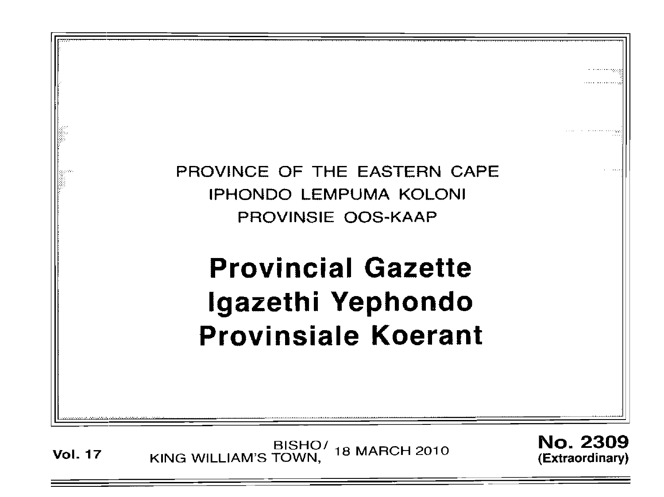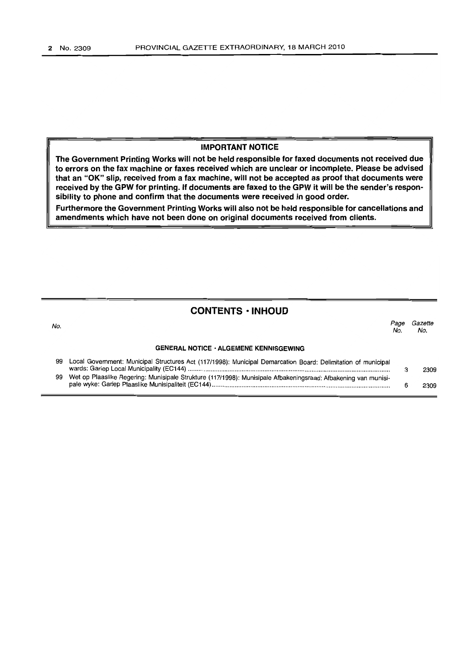No.

#### IMPORTANT NOTICE

The Government Printing Works will not be held responsible for faxed documents not received due to errors on the fax machine or faxes received which are unclear or incomplete. Please be advised that an "OK" slip, received from a fax machine, will not be accepted as proof that documents were received by the GPW for printing. If documents are faxed to the GPW it will be the sender's responsibility to phone and confirm that the documents were received in good order.

Furthermore the Government Printing Works will also not be held responsible for cancellations and amendments which have not been done on original documents received from clients.

### **CONTENTS • INHOUD**

GENERAL NOTICE' ALGEMENE KENNISGEWING Page Gazette No. No.

| 99 | Local Government: Municipal Structures Act (117/1998): Municipal Demarcation Board: Delimitation of municipal     | 2309 |
|----|-------------------------------------------------------------------------------------------------------------------|------|
|    | 99 Wet op Plaaslike Regering: Munisipale Strukture (117/1998): Munisipale Afbakeningsraad: Afbakening van munisi- | 2309 |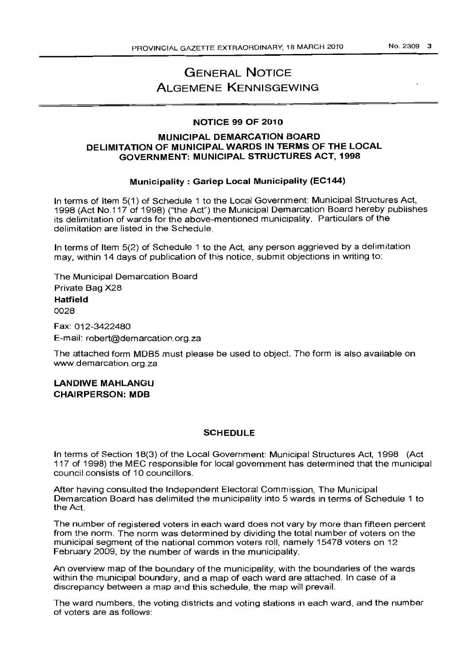NO.2309 3

# GENERAL NOTICE ALGEMENE KENNISGEWING

# NOTICE 99 OF 2010

### MUNICIPAL DEMARCATION BOARD DELIMITATION OF MUNICIPAL WARDS IN TERMS OF THE LOCAL GOVERNMENT: MUNICIPAL STRUCTURES ACT, 1998

# Municipality: Gariep Local Municipality (EC144)

In terms of Item 5(1) of Schedule 1 to the Local Government: Municipal Structures Act, 1998 (Act NO.117 of 1998) ("the Act") the Municipal Demarcation Board hereby publishes its delimitation of wards for the above-mentioned municipality. Particulars of the delimitation are listed in the Schedule.

In terms of Item 5(2) of Schedule 1 to the Act, any person aggrieved by a delimitation may, within 14 days of publication of this notice, submit objections in writing to:

The Municipal Demarcation Board Private Bag X28 Hatfield 0028

Fax: 012-3422480 E-mail: robert@demarcation.org.za

The attached form MDB5 must please be used to object. The form is also available on www.demarcation.org.za

LANDIWE MAHLANGU CHAIRPERSON: MDB

### SCHEDULE

In terms of Section 18(3) of the Local Government: Municipal Structures Act, 1998 (Act 117 of 1998) the MEC responsible for local government has determined that the municipal council consists of 10 councillors.

After having consulted the Independent Electoral Commission, The Municipal Demarcation Board has delimited the municipality into 5 wards in terms of Schedule 1 to the Act.

The number of registered voters in each ward does not vary by more than fifteen percent from the norm. The norm was determined by dividing the total number of voters on the municipal segment of the national common voters roll, namely 15478 voters on 12 February 2009, by the number of wards in the municipality.

An overview map of the boundary of the municipality, with the boundaries of the wards within the municipal boundary, and a map of each ward are attached. In case of a discrepancy between a map and this schedule, the map will prevail.

The ward numbers, the voting districts and voting stations in each ward, and the number of voters are as follows: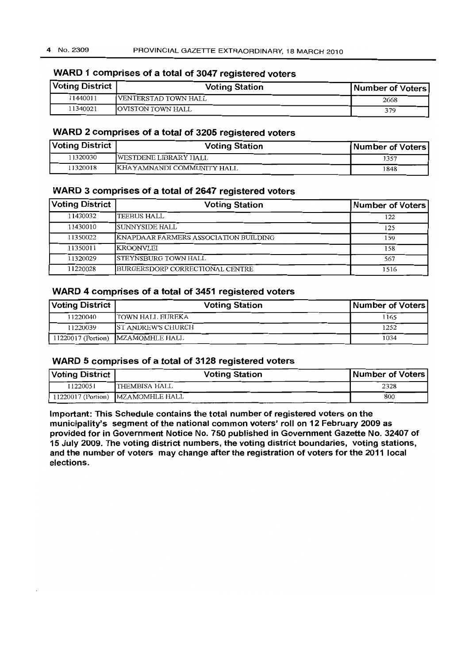# **WARD 1 comprises of a total of 3047 registered voters**

| Voting District | <b>Voting Station</b>     | Number of Voters |
|-----------------|---------------------------|------------------|
| 11440011        | IVENTERSTAD TOWN HALL     | 2668             |
| 11340021        | <b>JOVISTON TOWN HALL</b> | 379              |

# **WARD 2 comprises of a total of 3205 registered voters**

| Voting District | <b>Voting Station</b>        | Number of Voters |
|-----------------|------------------------------|------------------|
| 11320030        | <b>WESTDENE LIBRARY HALL</b> | 1357             |
| 1320018         | KHAYAMNANDI COMMUNITY HALL   | 1848             |

### **WARD 3 comprises of a total of 2647 registered voters**

| <b>Voting District</b> | <b>Voting Station</b>                 | Number of Voters |
|------------------------|---------------------------------------|------------------|
| 11430032               | <b>TEEBUS HALL</b>                    | 122              |
| 11430010               | SUNNYSIDE HALL                        | 125              |
| 11350022               | KNAPDAAR FARMERS ASSOCIATION BUILDING | 159              |
| 11350011               | <b>IKROONVLEI</b>                     | 158              |
| 11320029               | <b>ISTEYNSBURG TOWN HALL</b>          | 567              |
| 11220028               | BURGERSDORP CORRECTIONAL CENTRE       | 1516             |

# **WARD 4 comprises of a total of 3451 registered voters**

| Voting District | <b>Voting Station</b>             | Number of Voters |
|-----------------|-----------------------------------|------------------|
| 11220040        | ITOWN HALL EUREKA                 | 1165             |
| 11220039        | IST ANDREW'S CHURCH               | 1252             |
|                 | 11220017 (Portion) MZAMOMHLE HALL | 1034             |

### **WARD 5 comprises of a total of 3128 registered voters**

| Voting District | <b>Voting Station</b>             | Number of Voters |
|-----------------|-----------------------------------|------------------|
| 11220051        | <b>THEMBISA HALL</b>              | 2328             |
|                 | 11220017 (Portion) MZAMOMHLE HALL | 800              |

**Important: This Schedule contains the total number of registered voters on the municipality's segment** of the **national common voters' roll on 12 February 2009 as provided for in Government Notice No. 750 published in Government Gazette No. 32407 of 15 July 2009. The voting district numbers, the voting district boundaries, voting stations, and the number of voters may change after the registration of voters for the 2011 local elections.**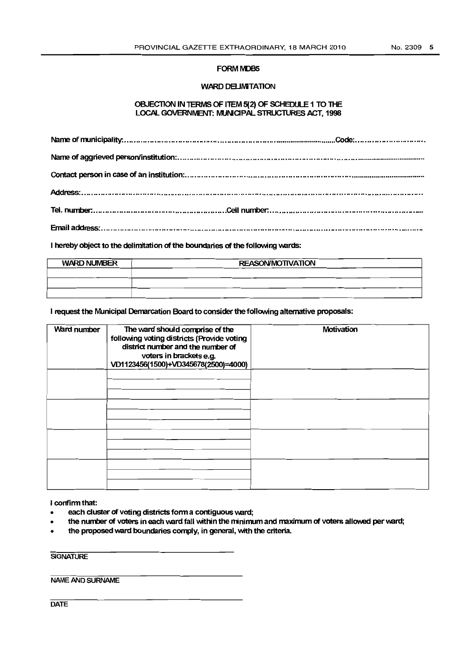#### FORM MDB5

#### WARD DELIMITATION

#### OBJECTION IN TERMS OF ITEM 5(2) OF SCHEDULE 1 TO THE LOCAL GOVERNMENT: MUNICIPAL STRUCTURES ACT, 1998

I hereby object to the delimitation of the boundaries of the following wards:

| <b>WARD NUMBER</b> | <b>REASON/MOTIVATION</b> |  |
|--------------------|--------------------------|--|
|                    |                          |  |
|                    |                          |  |
|                    |                          |  |

I request the Municipal Demarcation Board to consider the following alternative proposals:

| Ward number | The ward should comprise of the<br>following voting districts (Provide voting<br>district number and the number of<br>voters in brackets e.g.<br>VD1123456(1500)+VD345678(2500)=4000) | Motivation |
|-------------|---------------------------------------------------------------------------------------------------------------------------------------------------------------------------------------|------------|
|             |                                                                                                                                                                                       |            |
|             |                                                                                                                                                                                       |            |
|             |                                                                                                                                                                                       |            |
|             |                                                                                                                                                                                       |            |

I confinn that:

- each cluster of voting districts form a contiguous ward;
- the number of voters in each ward fall within the minimum and maximum of voters allowed per ward;
- the proposed ward boundaries comply, in general, with the criteria.

**SIGNATURE** 

**NAME** AND SURNAME

**DATE**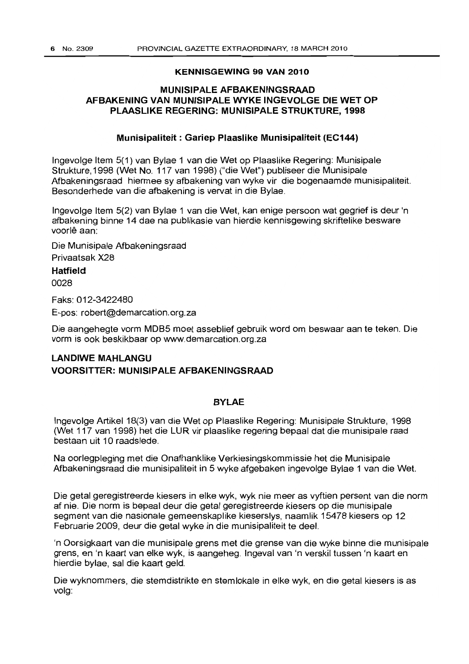#### **KENNISGEWING 99 VAN 2010**

### **MUNISIPALE AFBAKENINGSRAAD AFBAKENING VAN MUNISIPALE WYKE INGEVOLGE DIE WET OP PLAASLIKE REGERING: IVIUNISIPALE STRUKTURE, 1998**

#### **Munisipaliteit: Gariep Plaaslike Munisipaliteit (EC144)**

Ingevolge Item 5(1) van Bylae 1 van die Wet op Plaaslike Regering: Munisipale Strukture, 1998 (Wet No. 117 van 1998) ("die Wet") publiseer die Munisipale Afbakeningsraad hiermee sy afbakening van wyke vir die bogenaamde munisipaliteit. Besonderhede van die afbakening is vervat in die Bylae.

Ingevolge Item 5(2) van Bylae 1 van die Wet, kan enige persoon wat gegrief is deur 'n afbakening binne 14 dae na publikasie van hierdie kennisgewing skriftelike besware voorlê aan:

Die Munisipale Afbakeningsraad Privaatsak X28

# **Hatfield**

0028

Faks: 012-3422480 E-pos: robert@demarcation.org.za

Die aangehegte vorm MDB5 moet asseblief gebruik word om beswaar aan te teken. Die vorm is ook beskikbaar op www.demarcation.org.za

# **LANDIWE MAHLANGU VOORSITTER: MUNISIPALE AFBAKENINGSRAAD**

### **BYLAE**

Ingevolge Artikel 18(3) van die Wet op Plaaslike Regering: Munisipale Strukture, 1998 (Wet 117 van 1998) het die LUR vir plaaslike regering bepaal dat die munisipale raad bestaan uit 10 raadslede.

Na oorlegpleging met die Onafhanklike Verkiesingskommissie het die Munisipale Afbakeningsraad die munisipaliteit in 5 wyke afgebaken ingevolge Bylae 1 van die Wet.

Die getal geregistreerde kiesers in elke wyk, wyk nie meer as vyftien persent van die norm af nie. Die norm is bepaal deur die getal geregistreerde kiesers op die munisipale segment van die nasionale gemeenskaplike kieserslys, naamlik 15478 kiesers op 12 Februarie 2009, deur die getal wyke in die munisipaliteit te deel.

'n Oorsigkaart van die munisipale grens met die grense van die wyke binne die munisipale grens, en 'n kaart van elke wyk, is aangeheg. Ingeval van 'n verskil tussen 'n kaart en hierdie bylae, sal die kaart geld.

Die wyknommers, die stemdistrikte en stemlokale in elke wyk, en die getal kiesers is as volg: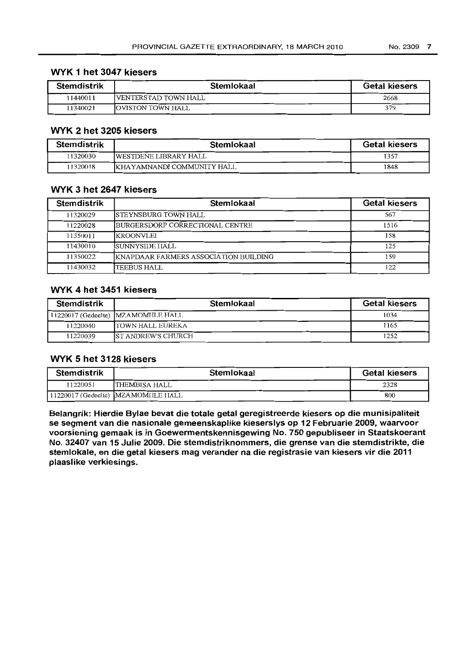### **WYK 1 het 3047 kiesers**

| <b>Stemdistrik</b> | Stemlokaal                  | <b>Getal kiesers</b> |
|--------------------|-----------------------------|----------------------|
| 11440011           | <b>VENTERSTAD TOWN HALL</b> | 2668                 |
| 11340021           | <b>JOVISTON TOWN HALL</b>   | 379                  |

# **WYK 2 het 3205 kiesers**

| <b>Stemdistrik</b> | Stemlokaal                         | <b>Getal kiesers</b> |
|--------------------|------------------------------------|----------------------|
| 11320030           | <b>IWESTDENE LIBRARY HALL</b>      | 1357                 |
| 11320018           | <b>IKHAYAMNANDI COMMUNITY HALL</b> | 1848                 |

### **WYK 3 het 2647 kiesers**

| <b>Stemdistrik</b> | Stemlokaal                                    | <b>Getal kiesers</b> |
|--------------------|-----------------------------------------------|----------------------|
| 11320029           | <b>ISTEYNSBURG TOWN HALL</b>                  | 567                  |
| 11220028           | BURGERSDORP CORRECTIONAL CENTRE               | 1516                 |
| 11350011           | IKROONVLEI                                    | 158                  |
| 11430010           | ISUNNYSIDE HALL                               | 125                  |
| 11350022           | <b>IKNAPDAAR FARMERS ASSOCIATION BUILDING</b> | 159                  |
| 11430032           | TEEBUS HALL                                   | 122                  |

# **WYK 4 het 3451 kiesers**

| <b>Stemdistrik</b> | Stemlokaal                           | <b>Getal kiesers</b> |
|--------------------|--------------------------------------|----------------------|
|                    | [11220017 (Gedeelte) [MZAMOMHLE HALL | 1034                 |
| 11220040           | ITOWN HALL EUREKA                    | 1165                 |
| 11220039           | <b>IST ANDREW'S CHURCH</b>           | 1252                 |

### **WYK 5 het 3128 kiesers**

| <b>Stemdistrik</b> | Stemlokaal                            | <b>Getal kiesers</b> |
|--------------------|---------------------------------------|----------------------|
| 11220051           | ITHEMBISA HALL                        | 2328                 |
|                    | 11220017 (Gedeelte)  MZAMOMIILE HALL_ | 800                  |

**Belangrik: Hierdie Bylae bevat die totale getal geregistreerde kiesers op die munisipaliteit se segment van die nasionale gemeenskaplike kieserslys op 12 Februarie 2009, waarvoor voorsiening gemaak is in Goewermentskennisgewing No. 750 gepubliseer in Staatskoerant No. 32407 van 15 Julie 2009. Die stemdistriknommers, die grense van die stemdistrikte, die stemlokale, en die getal kiesers mag verander na die registrasie van kiesers vir die 2011 plaaslike verkiesings.**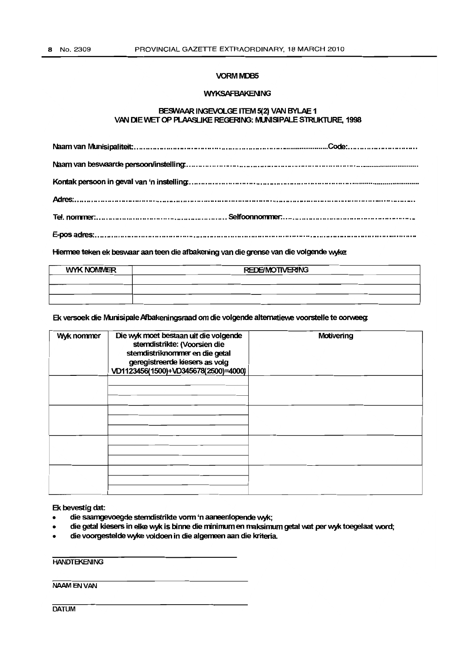#### **VORM MDB5**

#### **WYKSAFBAKENING**

#### BESWAAR INGEVOLGE ITEM 5(2) VAN BYLAE 1 VAN DIE WET OP PLAASLIKE REGERING: MUNISIPALE STRUKTURE, 1998

Hiermee teken ek beswaar aan teen die afbakening van die grense van die volgende wyke.

| <b>WYK NOMMER</b> | <b>REDE/MOTIVERING</b> |  |  |  |
|-------------------|------------------------|--|--|--|
|                   |                        |  |  |  |
|                   |                        |  |  |  |
|                   |                        |  |  |  |

Ek versoek die Munisipale Afbakeningsraad om die volgende alternatiewe voorstelle te oorweeg:

| Wyk nommer | Die wyk moet bestaan uit die volgende<br>stemdistrikte: (Voorsien die<br>stemdistriknommer en die getal<br>geregistreerde kiesers as volg<br>VD1123456(1500)+VD345678(2500)=4000) | Motivering |
|------------|-----------------------------------------------------------------------------------------------------------------------------------------------------------------------------------|------------|
|            |                                                                                                                                                                                   |            |
|            |                                                                                                                                                                                   |            |
|            |                                                                                                                                                                                   |            |
|            |                                                                                                                                                                                   |            |

Ek bevestig dat:

- die saamgevoegde stemdistrikte vorm 'n aaneenlopende wyk;
- die getal kiesers in elke wyk is binne die minimum en maksimum getal wat per wyk toegelaat word;
- die voorgestelde wyke voldoen in die algemeen aan die kriteria

**HANDTEKENING** 

NAAMENVAN

**DATUM**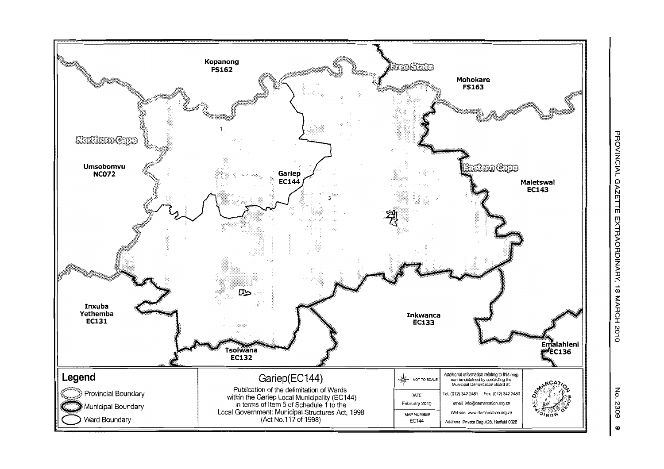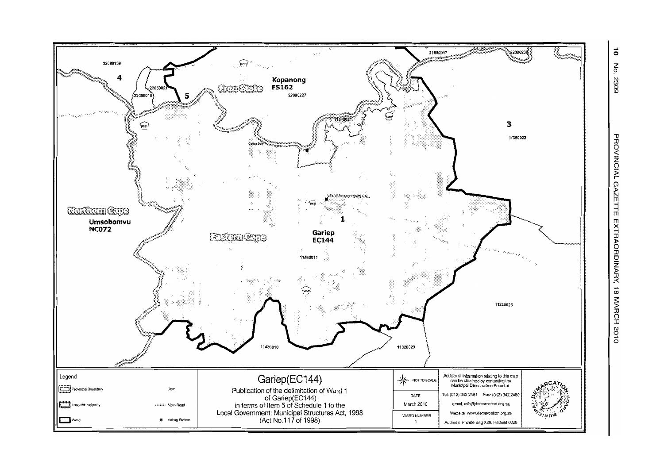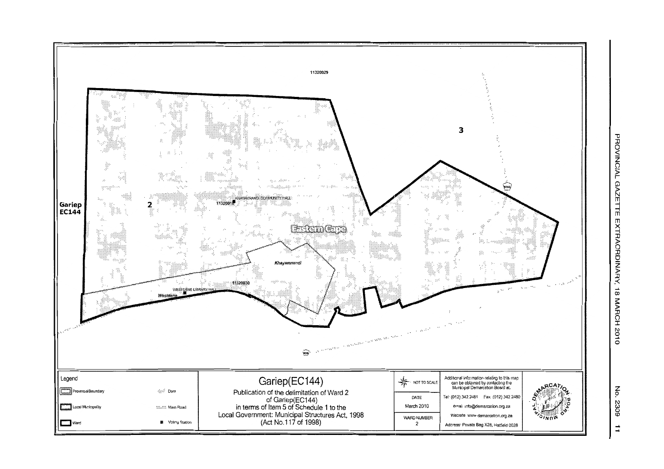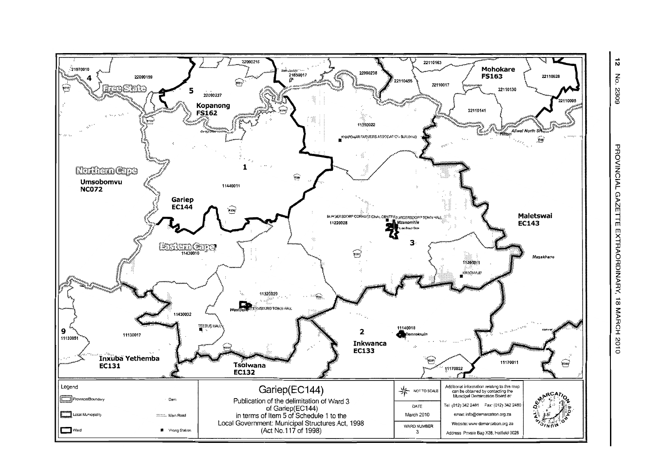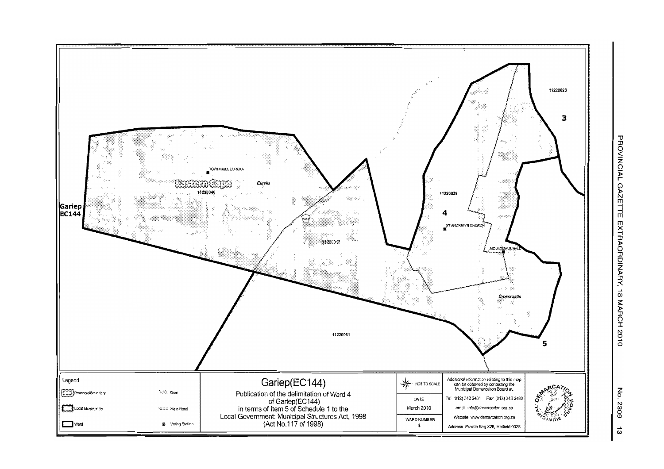